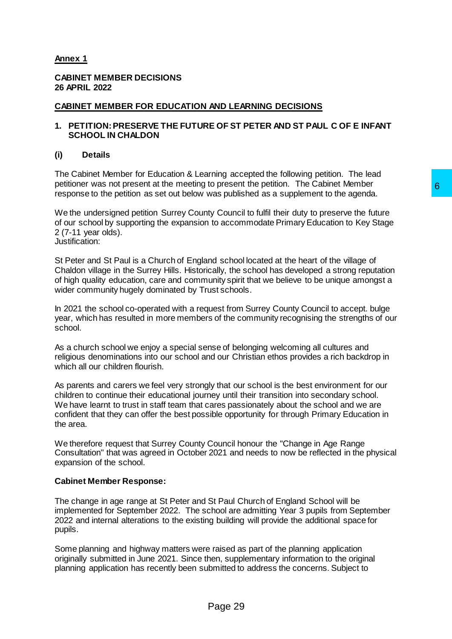# **Annex 1**

### **CABINET MEMBER DECISIONS 26 APRIL 2022**

## **CABINET MEMBER FOR EDUCATION AND LEARNING DECISIONS**

### **1. PETITION:PRESERVE THE FUTURE OF ST PETER AND ST PAUL C OF E INFANT SCHOOL IN CHALDON**

### **(i) Details**

The Cabinet Member for Education & Learning accepted the following petition. The lead petitioner was not present at the meeting to present the petition. The Cabinet Member response to the petition as set out below was published as a supplement to the agenda.

We the undersigned petition Surrey County Council to fulfil their duty to preserve the future of our school by supporting the expansion to accommodate Primary Education to Key Stage 2 (7-11 year olds). Justification:

St Peter and St Paul is a Church of England school located at the heart of the village of Chaldon village in the Surrey Hills. Historically, the school has developed a strong reputation of high quality education, care and community spirit that we believe to be unique amongst a wider community hugely dominated by Trust schools.

In 2021 the school co-operated with a request from Surrey County Council to accept. bulge year, which has resulted in more members of the community recognising the strengths of our school.

As a church school we enjoy a special sense of belonging welcoming all cultures and religious denominations into our school and our Christian ethos provides a rich backdrop in which all our children flourish.

As parents and carers we feel very strongly that our school is the best environment for our children to continue their educational journey until their transition into secondary school. We have learnt to trust in staff team that cares passionately about the school and we are confident that they can offer the best possible opportunity for through Primary Education in the area. to present the petution. The Caoinet Member<br>was published as a supplement to the agenda.<br>
ty Council to fulfil their duty to preserve the future<br>
to accommodate Primary Education to Key Stage<br>
and school located at the hea

We therefore request that Surrey County Council honour the "Change in Age Range Consultation" that was agreed in October 2021 and needs to now be reflected in the physical expansion of the school.

#### **Cabinet Member Response:**

The change in age range at St Peter and St Paul Church of England School will be implemented for September 2022. The school are admitting Year 3 pupils from September 2022 and internal alterations to the existing building will provide the additional space for pupils.

Some planning and highway matters were raised as part of the planning application originally submitted in June 2021. Since then, supplementary information to the original planning application has recently been submitted to address the concerns. Subject to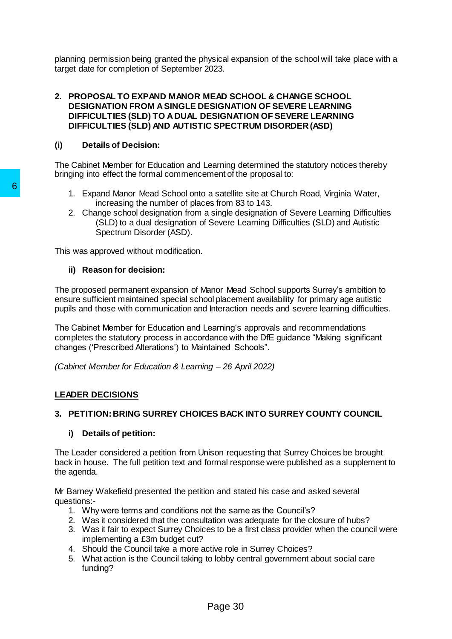planning permission being granted the physical expansion of the school will take place with a target date for completion of September 2023.

### **2. PROPOSAL TO EXPAND MANOR MEAD SCHOOL & CHANGE SCHOOL DESIGNATION FROM A SINGLE DESIGNATION OF SEVERE LEARNING DIFFICULTIES (SLD) TO A DUAL DESIGNATION OF SEVERE LEARNING DIFFICULTIES (SLD) AND AUTISTIC SPECTRUM DISORDER (ASD)**

## **(i) Details of Decision:**

The Cabinet Member for Education and Learning determined the statutory notices thereby bringing into effect the formal commencement of the proposal to:

- 1. Expand Manor Mead School onto a satellite site at Church Road, Virginia Water, increasing the number of places from 83 to 143.
- 2. Change school designation from a single designation of Severe Learning Difficulties (SLD) to a dual designation of Severe Learning Difficulties (SLD) and Autistic Spectrum Disorder (ASD).

This was approved without modification.

## **ii) Reason for decision:**

The proposed permanent expansion of Manor Mead School supports Surrey's ambition to ensure sufficient maintained special school placement availability for primary age autistic pupils and those with communication and Interaction needs and severe learning difficulties.

The Cabinet Member for Education and Learning's approvals and recommendations completes the statutory process in accordance with the DfE guidance "Making significant changes ('Prescribed Alterations') to Maintained Schools". **6**<br>
In Expand Manor Mead School onto a satellite<br>
increasing the number of places from 83<br>
2. Change school designation from a single de<br>
(SLD) to a dual designation of Severe Le<br>
Spectrum Disorder (ASD).<br>
This was approv

*(Cabinet Member for Education & Learning – 26 April 2022)*

## **LEADER DECISIONS**

## **3. PETITION:BRING SURREY CHOICES BACK INTO SURREY COUNTY COUNCIL**

## **i) Details of petition:**

The Leader considered a petition from Unison requesting that Surrey Choices be brought back in house. The full petition text and formal response were published as a supplement to the agenda.

Mr Barney Wakefield presented the petition and stated his case and asked several questions:-

- 1. Why were terms and conditions not the same as the Council's?
- 2. Was it considered that the consultation was adequate for the closure of hubs?
- 3. Was it fair to expect Surrey Choices to be a first class provider when the council were implementing a £3m budget cut?
- 4. Should the Council take a more active role in Surrey Choices?
- 5. What action is the Council taking to lobby central government about social care funding?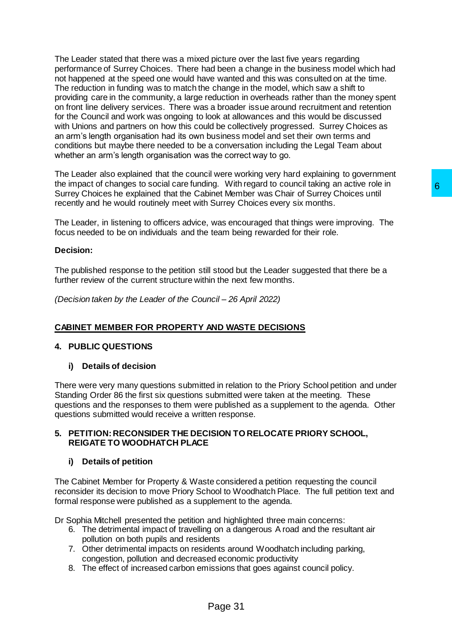The Leader stated that there was a mixed picture over the last five years regarding performance of Surrey Choices. There had been a change in the business model which had not happened at the speed one would have wanted and this was consulted on at the time. The reduction in funding was to match the change in the model, which saw a shift to providing care in the community, a large reduction in overheads rather than the money spent on front line delivery services. There was a broader issue around recruitment and retention for the Council and work was ongoing to look at allowances and this would be discussed with Unions and partners on how this could be collectively progressed. Surrey Choices as an arm's length organisation had its own business model and set their own terms and conditions but maybe there needed to be a conversation including the Legal Team about whether an arm's length organisation was the correct way to go.

The Leader also explained that the council were working very hard explaining to government the impact of changes to social care funding. With regard to council taking an active role in Surrey Choices he explained that the Cabinet Member was Chair of Surrey Choices until recently and he would routinely meet with Surrey Choices every six months.

The Leader, in listening to officers advice, was encouraged that things were improving. The focus needed to be on individuals and the team being rewarded for their role.

### **Decision:**

The published response to the petition still stood but the Leader suggested that there be a further review of the current structure within the next few months.

*(Decision taken by the Leader of the Council – 26 April 2022)*

## **CABINET MEMBER FOR PROPERTY AND WASTE DECISIONS**

## **4. PUBLIC QUESTIONS**

## **i) Details of decision**

There were very many questions submitted in relation to the Priory School petition and under Standing Order 86 the first six questions submitted were taken at the meeting. These questions and the responses to them were published as a supplement to the agenda. Other questions submitted would receive a written response. ng. with regard to councit taking an active role of<br>inet Member was Chair of Surrey Choices until<br>Surrey Choices every six months.<br>Surrey Choices every six months.<br>Was encouraged that things were improving. The<br>team being

### **5. PETITION:RECONSIDER THE DECISION TO RELOCATE PRIORY SCHOOL, REIGATE TO WOODHATCH PLACE**

#### **i) Details of petition**

The Cabinet Member for Property & Waste considered a petition requesting the council reconsider its decision to move Priory School to Woodhatch Place. The full petition text and formal response were published as a supplement to the agenda.

Dr Sophia Mitchell presented the petition and highlighted three main concerns:

- 6. The detrimental impact of travelling on a dangerous A road and the resultant air pollution on both pupils and residents
- 7. Other detrimental impacts on residents around Woodhatch including parking, congestion, pollution and decreased economic productivity
- 8. The effect of increased carbon emissions that goes against council policy.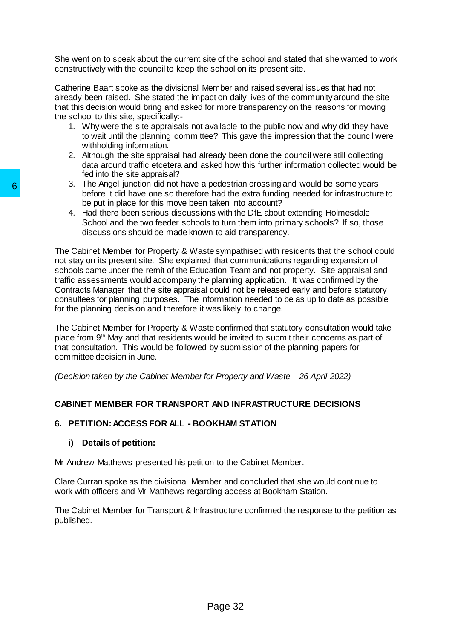She went on to speak about the current site of the school and stated that she wanted to work constructively with the council to keep the school on its present site.

Catherine Baart spoke as the divisional Member and raised several issues that had not already been raised. She stated the impact on daily lives of the community around the site that this decision would bring and asked for more transparency on the reasons for moving the school to this site, specifically:-

- 1. Why were the site appraisals not available to the public now and why did they have to wait until the planning committee? This gave the impression that the council were withholding information.
- 2. Although the site appraisal had already been done the council were still collecting data around traffic etcetera and asked how this further information collected would be fed into the site appraisal?
- 3. The Angel junction did not have a pedestrian crossing and would be some years before it did have one so therefore had the extra funding needed for infrastructure to be put in place for this move been taken into account?
- 4. Had there been serious discussions with the DfE about extending Holmesdale School and the two feeder schools to turn them into primary schools? If so, those discussions should be made known to aid transparency.

The Cabinet Member for Property & Waste sympathised with residents that the school could not stay on its present site. She explained that communications regarding expansion of schools came under the remit of the Education Team and not property. Site appraisal and traffic assessments would accompany the planning application. It was confirmed by the Contracts Manager that the site appraisal could not be released early and before statutory consultees for planning purposes. The information needed to be as up to date as possible for the planning decision and therefore it was likely to change. 3. The Angle Junction ation to those a peasural to the bedeviated the bed put in place for this move bed put in place for this move been taken into the subsects that the School and the two feeder schools to turn the School

The Cabinet Member for Property & Waste confirmed that statutory consultation would take place from 9th May and that residents would be invited to submit their concerns as part of that consultation. This would be followed by submission of the planning papers for committee decision in June.

*(Decision taken by the Cabinet Member for Property and Waste – 26 April 2022)*

# **CABINET MEMBER FOR TRANSPORT AND INFRASTRUCTURE DECISIONS**

## **6. PETITION:ACCESS FOR ALL - BOOKHAM STATION**

## **i) Details of petition:**

Mr Andrew Matthews presented his petition to the Cabinet Member.

Clare Curran spoke as the divisional Member and concluded that she would continue to work with officers and Mr Matthews regarding access at Bookham Station.

The Cabinet Member for Transport & Infrastructure confirmed the response to the petition as published.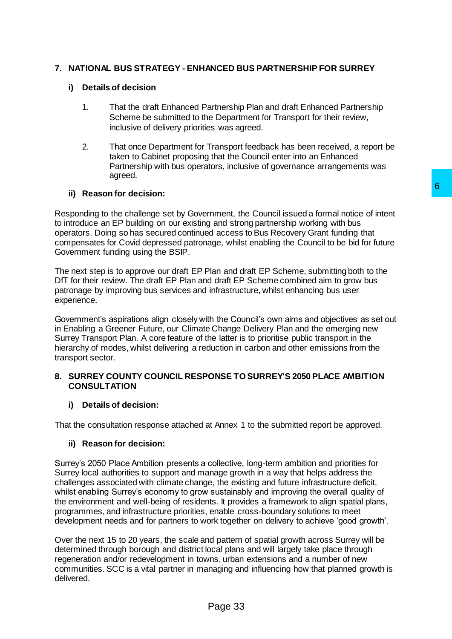# **7. NATIONAL BUS STRATEGY - ENHANCED BUS PARTNERSHIP FOR SURREY**

## **i) Details of decision**

- 1. That the draft Enhanced Partnership Plan and draft Enhanced Partnership Scheme be submitted to the Department for Transport for their review, inclusive of delivery priorities was agreed.
- 2. That once Department for Transport feedback has been received, a report be taken to Cabinet proposing that the Council enter into an Enhanced Partnership with bus operators, inclusive of governance arrangements was agreed.

## **ii) Reason for decision:**

Responding to the challenge set by Government, the Council issued a formal notice of intent to introduce an EP building on our existing and strong partnership working with bus operators. Doing so has secured continued access to Bus Recovery Grant funding that compensates for Covid depressed patronage, whilst enabling the Council to be bid for future Government funding using the BSIP.

The next step is to approve our draft EP Plan and draft EP Scheme, submitting both to the DfT for their review. The draft EP Plan and draft EP Scheme combined aim to grow bus patronage by improving bus services and infrastructure, whilst enhancing bus user experience.

Government's aspirations align closely with the Council's own aims and objectives as set out in Enabling a Greener Future, our Climate Change Delivery Plan and the emerging new Surrey Transport Plan. A core feature of the latter is to prioritise public transport in the hierarchy of modes, whilst delivering a reduction in carbon and other emissions from the transport sector.

## **8. SURREY COUNTY COUNCIL RESPONSE TO SURREY'S 2050 PLACE AMBITION CONSULTATION**

## **i) Details of decision:**

That the consultation response attached at Annex 1 to the submitted report be approved.

## **ii) Reason for decision:**

Surrey's 2050 Place Ambition presents a collective, long-term ambition and priorities for Surrey local authorities to support and manage growth in a way that helps address the challenges associated with climate change, the existing and future infrastructure deficit, whilst enabling Surrey's economy to grow sustainably and improving the overall quality of the environment and well-being of residents. It provides a framework to align spatial plans, programmes, and infrastructure priorities, enable cross-boundary solutions to meet development needs and for partners to work together on delivery to achieve 'good growth'. **6**<br>**Example 11** and strong partnership evolving with bus<br>and a docess to Bus Recovery Grap turbing that bus<br>age, whilst enabling the Council to be bid for future<br>age, whilst enabling the Council to be bid for future<br>Plan

Over the next 15 to 20 years, the scale and pattern of spatial growth across Surrey will be determined through borough and district local plans and will largely take place through regeneration and/or redevelopment in towns, urban extensions and a number of new communities. SCC is a vital partner in managing and influencing how that planned growth is delivered.